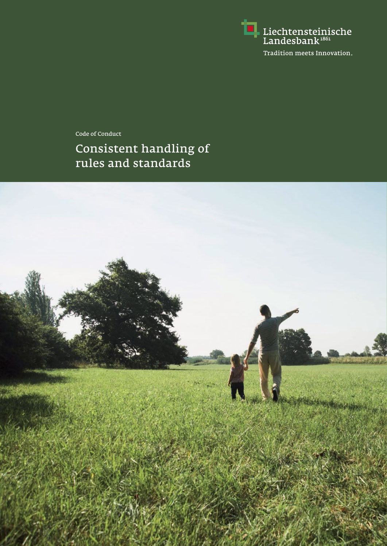

Consistent handling of rules and standards Code of Conduct

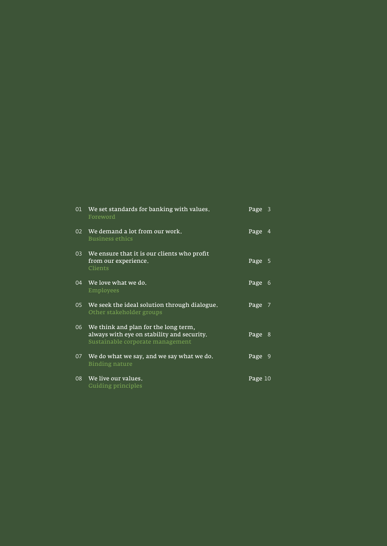| 01 | We set standards for banking with values.<br>Foreword                                                                  | Page 3  |                |
|----|------------------------------------------------------------------------------------------------------------------------|---------|----------------|
| 02 | We demand a lot from our work.<br><b>Business ethics</b>                                                               | Page    | 4              |
| 03 | We ensure that it is our clients who profit<br>from our experience.<br>Clients                                         | Page    | - 5            |
| 04 | We love what we do.<br>Employees                                                                                       | Page    | 6              |
| 05 | We seek the ideal solution through dialogue.<br>Other stakeholder groups                                               | Page    | - 7            |
| 06 | We think and plan for the long term,<br>always with eye on stability and security.<br>Sustainable corporate management | Page    | 8              |
| 07 | We do what we say, and we say what we do.<br>Binding nature                                                            | Page    | $\overline{9}$ |
| 08 | We live our values.<br><b>Guiding principles</b>                                                                       | Page 10 |                |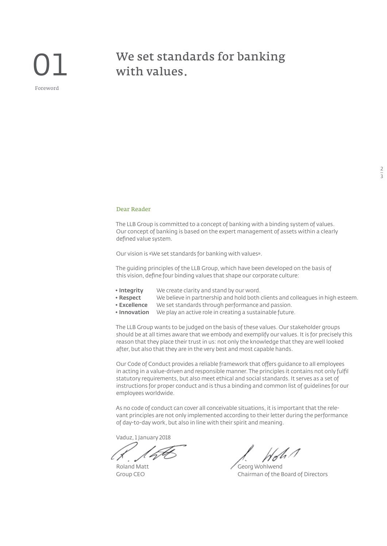# Foreword

### We set standards for banking with values.

## $\frac{2}{3}$

#### Dear Reader

The LLB Group is committed to a concept of banking with a binding system of values. Our concept of banking is based on the expert management of assets within a clearly defined value system.

Our vision is «We set standards for banking with values».

The guiding principles of the LLB Group, which have been developed on the basis of this vision, define four binding values that shape our corporate culture:

- 
- **◆ Integrity** We create clarity and stand by our word. We believe in partnership and hold both clients and colleagues in high esteem.
- **◆ Excellence** We set standards through performance and passion.
- **◆ Innovation** We play an active role in creating a sustainable future.

The LLB Group wants to be judged on the basis of these values. Our stakeholder groups should be at all times aware that we embody and exemplify our values. It is for precisely this reason that they place their trust in us: not only the knowledge that they are well looked after, but also that they are in the very best and most capable hands.

Our Code of Conduct provides a reliable framework that offers guidance to all employees in acting in a value-driven and responsible manner. The principles it contains not only fulfil statutory requirements, but also meet ethical and social standards. It serves as a set of instructions for proper conduct and is thus a binding and common list of guidelines for our employees worldwide.

As no code of conduct can cover all conceivable situations, it is important that the relevant principles are not only implemented according to their letter during the performance of day-to-day work, but also in line with their spirit and meaning.

Vaduz, 1 January 2018

Roland Matt<br>Group CEO **State Contract Contract Chairman of the E** Chairman of the Board of Directors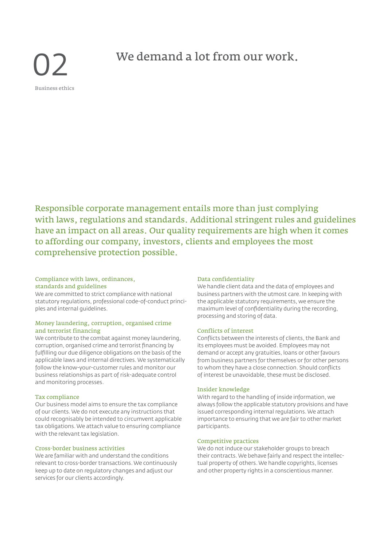02 Business ethics

### We demand a lot from our work.

Responsible corporate management entails more than just complying with laws, regulations and standards. Additional stringent rules and guidelines have an impact on all areas. Our quality requirements are high when it comes to affording our company, investors, clients and employees the most comprehensive protection possible.

#### Compliance with laws, ordinances, standards and guidelines

We are committed to strict compliance with national statutory regulations, professional code-of-conduct principles and internal guidelines.

#### Money laundering, corruption, organised crime and terrorist financing

We contribute to the combat against money laundering, corruption, organised crime and terrorist financing by fulfilling our due diligence obligations on the basis of the applicable laws and internal directives. We systematically follow the know-your-customer rules and monitor our business relationships as part of risk-adequate control and monitoring processes.

#### Tax compliance

Our business model aims to ensure the tax compliance of our clients. We do not execute any instructions that could recognisably be intended to circumvent applicable tax obligations. We attach value to ensuring compliance with the relevant tax legislation.

#### Cross-border business activities

We are familiar with and understand the conditions relevant to cross-border transactions. We continuously keep up to date on regulatory changes and adjust our services for our clients accordingly.

#### Data confidentiality

We handle client data and the data of employees and business partners with the utmost care. In keeping with the applicable statutory requirements, we ensure the maximum level of confidentiality during the recording, processing and storing of data.

#### Conflicts of interest

Conflicts between the interests of clients, the Bank and its employees must be avoided. Employees may not demand or accept any gratuities, loans or other favours from business partners for themselves or for other persons to whom they have a close connection. Should conflicts of interest be unavoidable, these must be disclosed.

#### Insider knowledge

With regard to the handling of inside information, we always follow the applicable statutory provisions and have issued corresponding internal regulations. We attach importance to ensuring that we are fair to other market participants.

#### Competitive practices

We do not induce our stakeholder groups to breach their contracts. We behave fairly and respect the intellectual property of others. We handle copyrights, licenses and other property rights in a conscientious manner.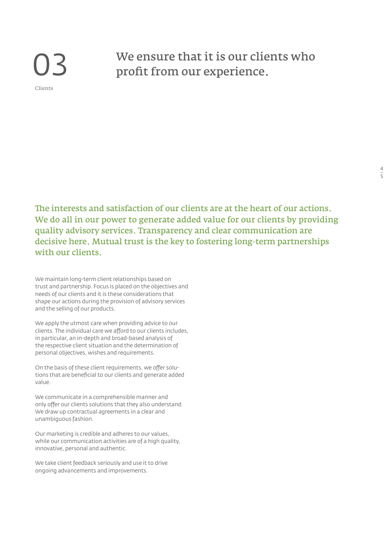## 03 Clients

### We ensure that it is our clients who profit from our experience.

The interests and satisfaction of our clients are at the heart of our actions. We do all in our power to generate added value for our clients by providing quality advisory services. Transparency and clear communication are decisive here. Mutual trust is the key to fostering long-term partnerships with our clients.

We maintain long-term client relationships based on trust and partnership. Focus is placed on the objectives and needs of our clients and it is these considerations that shape our actions during the provision of advisory services and the selling of our products.

We apply the utmost care when providing advice to our clients. The individual care we afford to our clients includes, in particular, an in-depth and broad-based analysis of the respective client situation and the determination of personal objectives, wishes and requirements.

On the basis of these client requirements, we offer solutions that are beneficial to our clients and generate added value.

We communicate in a comprehensible manner and only offer our clients solutions that they also understand. We draw up contractual agreements in a clear and unambiguous fashion.

Our marketing is credible and adheres to our values, while our communication activities are of a high quality, innovative, personal and authentic.

We take client feedback seriously and use it to drive ongoing advancements and improvements.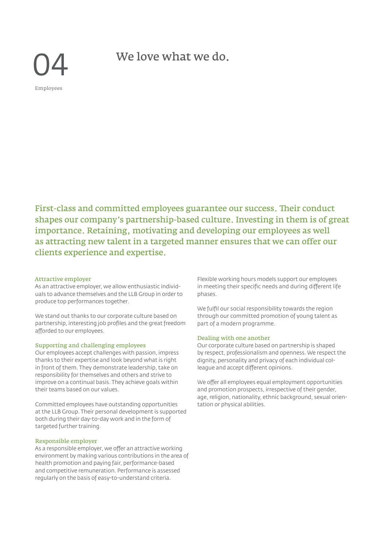We love what we do.

04 Employees

First-class and committed employees guarantee our success. Their conduct shapes our company's partnership-based culture. Investing in them is of great importance. Retaining, motivating and developing our employees as well as attracting new talent in a targeted manner ensures that we can offer our clients experience and expertise.

#### Attractive employer

As an attractive employer, we allow enthusiastic individuals to advance themselves and the LLB Group in order to produce top performances together.

We stand out thanks to our corporate culture based on partnership, interesting job profiles and the great freedom afforded to our employees.

#### Supporting and challenging employees

Our employees accept challenges with passion, impress thanks to their expertise and look beyond what is right in front of them. They demonstrate leadership, take on responsibility for themselves and others and strive to improve on a continual basis. They achieve goals within their teams based on our values.

Committed employees have outstanding opportunities at the LLB Group. Their personal development is supported both during their day-to-day work and in the form of targeted further training.

#### Responsible employer

As a responsible employer, we offer an attractive working environment by making various contributions in the area of health promotion and paying fair, performance-based and competitive remuneration. Performance is assessed regularly on the basis of easy-to-understand criteria.

Flexible working hours models support our employees in meeting their specific needs and during different life phases.

We fulfil our social responsibility towards the region through our committed promotion of young talent as part of a modern programme.

#### Dealing with one another

Our corporate culture based on partnership is shaped by respect, professionalism and openness. We respect the dignity, personality and privacy of each individual colleague and accept different opinions.

We offer all employees equal employment opportunities and promotion prospects, irrespective of their gender, age, religion, nationality, ethnic background, sexual orientation or physical abilities.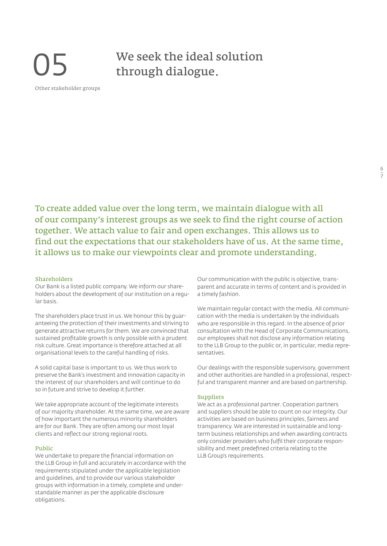# 05 Other stakeholder groups

### We seek the ideal solution through dialogue.

To create added value over the long term, we maintain dialogue with all of our company's interest groups as we seek to find the right course of action together. We attach value to fair and open exchanges. This allows us to find out the expectations that our stakeholders have of us. At the same time, it allows us to make our viewpoints clear and promote understanding.

#### Shareholders

Our Bank is a listed public company. We inform our shareholders about the development of our institution on a regular basis.

The shareholders place trust in us. We honour this by guaranteeing the protection of their investments and striving to generate attractive returns for them. We are convinced that sustained profitable growth is only possible with a prudent risk culture. Great importance is therefore attached at all organisational levels to the careful handling of risks.

A solid capital base is important to us. We thus work to preserve the Bank's investment and innovation capacity in the interest of our shareholders and will continue to do so in future and strive to develop it further.

We take appropriate account of the legitimate interests of our majority shareholder. At the same time, we are aware of how important the numerous minority shareholders are for our Bank. They are often among our most loyal clients and reflect our strong regional roots.

#### Public

We undertake to prepare the financial information on the LLB Group in full and accurately in accordance with the requirements stipulated under the applicable legislation and guidelines, and to provide our various stakeholder groups with information in a timely, complete and understandable manner as per the applicable disclosure obligations.

Our communication with the public is objective, transparent and accurate in terms of content and is provided in a timely fashion.

We maintain regular contact with the media. All communication with the media is undertaken by the individuals who are responsible in this regard. In the absence of prior consultation with the Head of Corporate Communications, our employees shall not disclose any information relating to the LLB Group to the public or, in particular, media representatives.

Our dealings with the responsible supervisory, government and other authorities are handled in a professional, respectful and transparent manner and are based on partnership.

#### Suppliers

We act as a professional partner. Cooperation partners and suppliers should be able to count on our integrity. Our activities are based on business principles, fairness and transparency. We are interested in sustainable and longterm business relationships and when awarding contracts only consider providers who fulfil their corporate responsibility and meet predefined criteria relating to the LLB Group's requirements.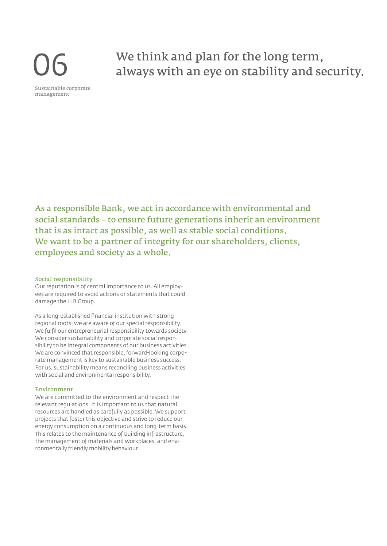

We think and plan for the long term, always with an eye on stability and security.

As a responsible Bank, we act in accordance with environmental and social standards – to ensure future generations inherit an environment that is as intact as possible, as well as stable social conditions. We want to be a partner of integrity for our shareholders, clients, employees and society as a whole.

#### Social responsibility

Our reputation is of central importance to us. All employees are required to avoid actions or statements that could damage the LLB Group.

As a long-established financial institution with strong regional roots, we are aware of our special responsibility. We fulfil our entrepreneurial responsibility towards society. We consider sustainability and corporate social responsibility to be integral components of our business activities. We are convinced that responsible, forward-looking corporate management is key to sustainable business success. For us, sustainability means reconciling business activities with social and environmental responsibility.

#### Environment

We are committed to the environment and respect the relevant regulations. It is important to us that natural resources are handled as carefully as possible. We support projects that foster this objective and strive to reduce our energy consumption on a continuous and long-term basis. This relates to the maintenance of building infrastructure, the management of materials and workplaces, and environmentally friendly mobility behaviour.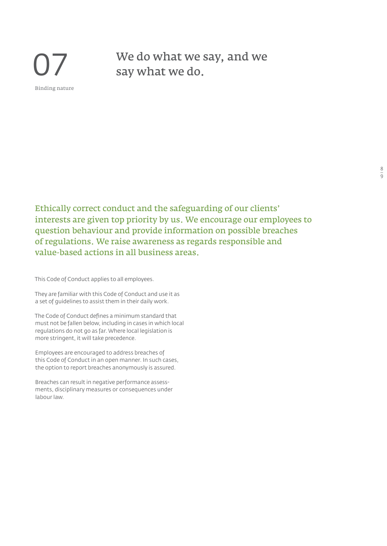

We do what we say, and we say what we do.

Ethically correct conduct and the safeguarding of our clients' interests are given top priority by us. We encourage our employees to question behaviour and provide information on possible breaches of regulations. We raise awareness as regards responsible and value-based actions in all business areas.

This Code of Conduct applies to all employees.

They are familiar with this Code of Conduct and use it as a set of guidelines to assist them in their daily work.

The Code of Conduct defines a minimum standard that must not be fallen below, including in cases in which local regulations do not go as far. Where local legislation is more stringent, it will take precedence.

Employees are encouraged to address breaches of this Code of Conduct in an open manner. In such cases, the option to report breaches anonymously is assured.

Breaches can result in negative performance assessments, disciplinary measures or consequences under labour law.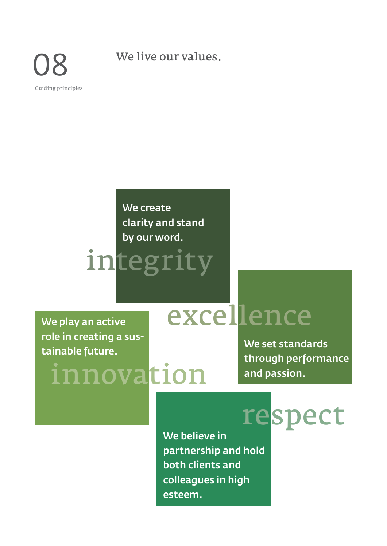08

Guiding principles

We live our values.

## **We create clarity and stand by our word.**

# integrity

**We play an active role in creating a sustainable future.**

# innovation

# excellence

**We set standards through performance and passion.**

respect **We believe in partnership and hold both clients and colleagues in high esteem.**